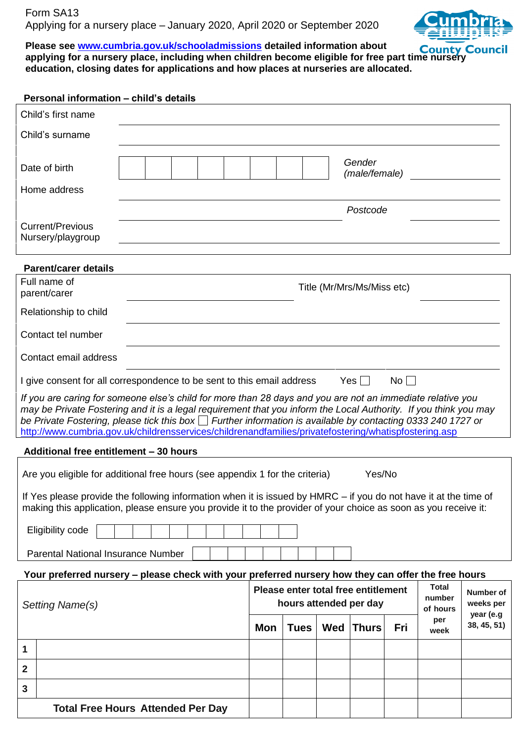

#### **Please see www.cumbria.gov.uk/schooladmissions detailed information about** Please see www.cumbria.gov.uk/schooladmissions detailed information about **County Council**<br>applying f[or a nursery place, including when childre](http://www.cumbria.gov.uk/schooladmissions)n become eligible for free part time nursery **education, closing dates for applications and how places at nurseries are allocated.**

| Personal information - child's details                                                                                                                                                                                                                                                                                                                                                                                                                       |                                                                  |             |            |                         |           |             |             |
|--------------------------------------------------------------------------------------------------------------------------------------------------------------------------------------------------------------------------------------------------------------------------------------------------------------------------------------------------------------------------------------------------------------------------------------------------------------|------------------------------------------------------------------|-------------|------------|-------------------------|-----------|-------------|-------------|
| Child's first name                                                                                                                                                                                                                                                                                                                                                                                                                                           |                                                                  |             |            |                         |           |             |             |
| Child's surname                                                                                                                                                                                                                                                                                                                                                                                                                                              |                                                                  |             |            |                         |           |             |             |
| Date of birth                                                                                                                                                                                                                                                                                                                                                                                                                                                |                                                                  |             |            | Gender<br>(male/female) |           |             |             |
| Home address                                                                                                                                                                                                                                                                                                                                                                                                                                                 |                                                                  |             |            |                         |           |             |             |
|                                                                                                                                                                                                                                                                                                                                                                                                                                                              | Postcode                                                         |             |            |                         |           |             |             |
| <b>Current/Previous</b><br>Nursery/playgroup                                                                                                                                                                                                                                                                                                                                                                                                                 |                                                                  |             |            |                         |           |             |             |
| <b>Parent/carer details</b>                                                                                                                                                                                                                                                                                                                                                                                                                                  |                                                                  |             |            |                         |           |             |             |
| Full name of<br>parent/carer                                                                                                                                                                                                                                                                                                                                                                                                                                 | Title (Mr/Mrs/Ms/Miss etc)                                       |             |            |                         |           |             |             |
| Relationship to child                                                                                                                                                                                                                                                                                                                                                                                                                                        |                                                                  |             |            |                         |           |             |             |
| Contact tel number                                                                                                                                                                                                                                                                                                                                                                                                                                           |                                                                  |             |            |                         |           |             |             |
| Contact email address                                                                                                                                                                                                                                                                                                                                                                                                                                        |                                                                  |             |            |                         |           |             |             |
| I give consent for all correspondence to be sent to this email address<br>Yes    <br>$No$ $ $                                                                                                                                                                                                                                                                                                                                                                |                                                                  |             |            |                         |           |             |             |
| If you are caring for someone else's child for more than 28 days and you are not an immediate relative you<br>may be Private Fostering and it is a legal requirement that you inform the Local Authority. If you think you may<br>be Private Fostering, please tick this box $\Box$ Further information is available by contacting 0333 240 1727 or<br>http://www.cumbria.gov.uk/childrensservices/childrenandfamilies/privatefostering/whatispfostering.asp |                                                                  |             |            |                         |           |             |             |
| Additional free entitlement - 30 hours                                                                                                                                                                                                                                                                                                                                                                                                                       |                                                                  |             |            |                         |           |             |             |
| Are you eligible for additional free hours (see appendix 1 for the criteria)                                                                                                                                                                                                                                                                                                                                                                                 |                                                                  |             |            | Yes/No                  |           |             |             |
| If Yes please provide the following information when it is issued by HMRC – if you do not have it at the time of                                                                                                                                                                                                                                                                                                                                             |                                                                  |             |            |                         |           |             |             |
| making this application, please ensure you provide it to the provider of your choice as soon as you receive it:                                                                                                                                                                                                                                                                                                                                              |                                                                  |             |            |                         |           |             |             |
| Eligibility code                                                                                                                                                                                                                                                                                                                                                                                                                                             |                                                                  |             |            |                         |           |             |             |
| <b>Parental National Insurance Number</b>                                                                                                                                                                                                                                                                                                                                                                                                                    |                                                                  |             |            |                         |           |             |             |
| Your preferred nursery - please check with your preferred nursery how they can offer the free hours                                                                                                                                                                                                                                                                                                                                                          |                                                                  |             |            |                         |           |             |             |
|                                                                                                                                                                                                                                                                                                                                                                                                                                                              | <b>Total</b><br>Please enter total free entitlement<br>Number of |             |            |                         |           |             |             |
| Setting Name(s)                                                                                                                                                                                                                                                                                                                                                                                                                                              | number<br>hours attended per day<br>weeks per<br>of hours        |             |            |                         | year (e.g |             |             |
|                                                                                                                                                                                                                                                                                                                                                                                                                                                              | <b>Mon</b>                                                       | <b>Tues</b> | <b>Wed</b> | Thurs                   | Fri       | per<br>week | 38, 45, 51) |
| 1                                                                                                                                                                                                                                                                                                                                                                                                                                                            |                                                                  |             |            |                         |           |             |             |
| $\mathbf{2}$                                                                                                                                                                                                                                                                                                                                                                                                                                                 |                                                                  |             |            |                         |           |             |             |
| 3                                                                                                                                                                                                                                                                                                                                                                                                                                                            |                                                                  |             |            |                         |           |             |             |
| <b>Total Free Hours Attended Per Day</b>                                                                                                                                                                                                                                                                                                                                                                                                                     |                                                                  |             |            |                         |           |             |             |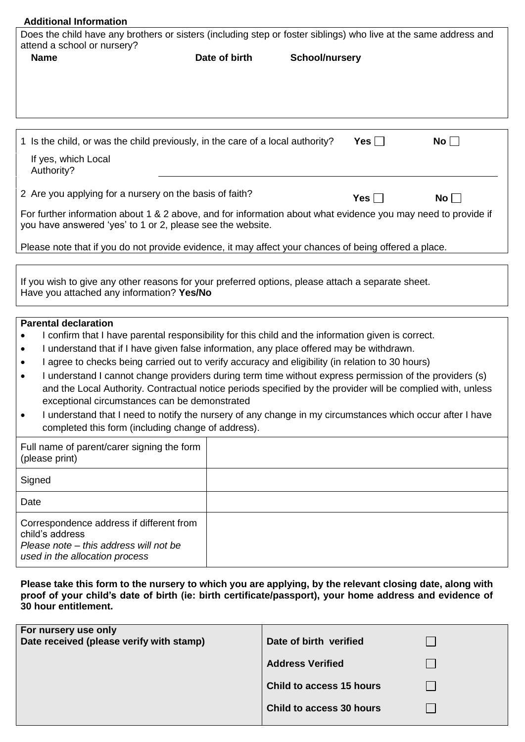| <b>Additional Information</b>                                                                                                                                                                                                              |               |                       |            |                       |  |
|--------------------------------------------------------------------------------------------------------------------------------------------------------------------------------------------------------------------------------------------|---------------|-----------------------|------------|-----------------------|--|
| Does the child have any brothers or sisters (including step or foster siblings) who live at the same address and                                                                                                                           |               |                       |            |                       |  |
| attend a school or nursery?                                                                                                                                                                                                                |               |                       |            |                       |  |
| <b>Name</b>                                                                                                                                                                                                                                | Date of birth | <b>School/nursery</b> |            |                       |  |
|                                                                                                                                                                                                                                            |               |                       |            |                       |  |
|                                                                                                                                                                                                                                            |               |                       |            |                       |  |
|                                                                                                                                                                                                                                            |               |                       |            |                       |  |
|                                                                                                                                                                                                                                            |               |                       |            |                       |  |
| 1 Is the child, or was the child previously, in the care of a local authority?                                                                                                                                                             |               |                       | Yes $\Box$ | $\mathsf{No} \, \Box$ |  |
| If yes, which Local<br>Authority?                                                                                                                                                                                                          |               |                       |            |                       |  |
| 2 Are you applying for a nursery on the basis of faith?                                                                                                                                                                                    |               |                       | Yes $\Box$ | $No$ $ $              |  |
| For further information about 1 & 2 above, and for information about what evidence you may need to provide if<br>you have answered 'yes' to 1 or 2, please see the website.                                                                |               |                       |            |                       |  |
| Please note that if you do not provide evidence, it may affect your chances of being offered a place.                                                                                                                                      |               |                       |            |                       |  |
| If you wish to give any other reasons for your preferred options, please attach a separate sheet.<br>Have you attached any information? Yes/No                                                                                             |               |                       |            |                       |  |
| <b>Parental declaration</b>                                                                                                                                                                                                                |               |                       |            |                       |  |
| I confirm that I have parental responsibility for this child and the information given is correct.                                                                                                                                         |               |                       |            |                       |  |
| I understand that if I have given false information, any place offered may be withdrawn.<br>$\bullet$                                                                                                                                      |               |                       |            |                       |  |
| I agree to checks being carried out to verify accuracy and eligibility (in relation to 30 hours)                                                                                                                                           |               |                       |            |                       |  |
| I understand I cannot change providers during term time without express permission of the providers (s)<br>$\bullet$                                                                                                                       |               |                       |            |                       |  |
| and the Local Authority. Contractual notice periods specified by the provider will be complied with, unless                                                                                                                                |               |                       |            |                       |  |
| exceptional circumstances can be demonstrated<br>I understand that I need to notify the nursery of any change in my circumstances which occur after I have                                                                                 |               |                       |            |                       |  |
| completed this form (including change of address).                                                                                                                                                                                         |               |                       |            |                       |  |
| Full name of parent/carer signing the form<br>(please print)                                                                                                                                                                               |               |                       |            |                       |  |
| Signed                                                                                                                                                                                                                                     |               |                       |            |                       |  |
| Date                                                                                                                                                                                                                                       |               |                       |            |                       |  |
| Correspondence address if different from                                                                                                                                                                                                   |               |                       |            |                       |  |
| child's address                                                                                                                                                                                                                            |               |                       |            |                       |  |
| Please note – this address will not be<br>used in the allocation process                                                                                                                                                                   |               |                       |            |                       |  |
|                                                                                                                                                                                                                                            |               |                       |            |                       |  |
| Please take this form to the nursery to which you are applying, by the relevant closing date, along with<br>proof of your child's date of birth (ie: birth certificate/passport), your home address and evidence of<br>30 hour entitlement |               |                       |            |                       |  |

| proof or your critics date or |  |  |  |  |
|-------------------------------|--|--|--|--|
| 30 hour entitlement.          |  |  |  |  |
|                               |  |  |  |  |
|                               |  |  |  |  |
|                               |  |  |  |  |

| For nursery use only<br>Date received (please verify with stamp) | Date of birth verified   |  |
|------------------------------------------------------------------|--------------------------|--|
|                                                                  | <b>Address Verified</b>  |  |
|                                                                  | Child to access 15 hours |  |
|                                                                  | Child to access 30 hours |  |